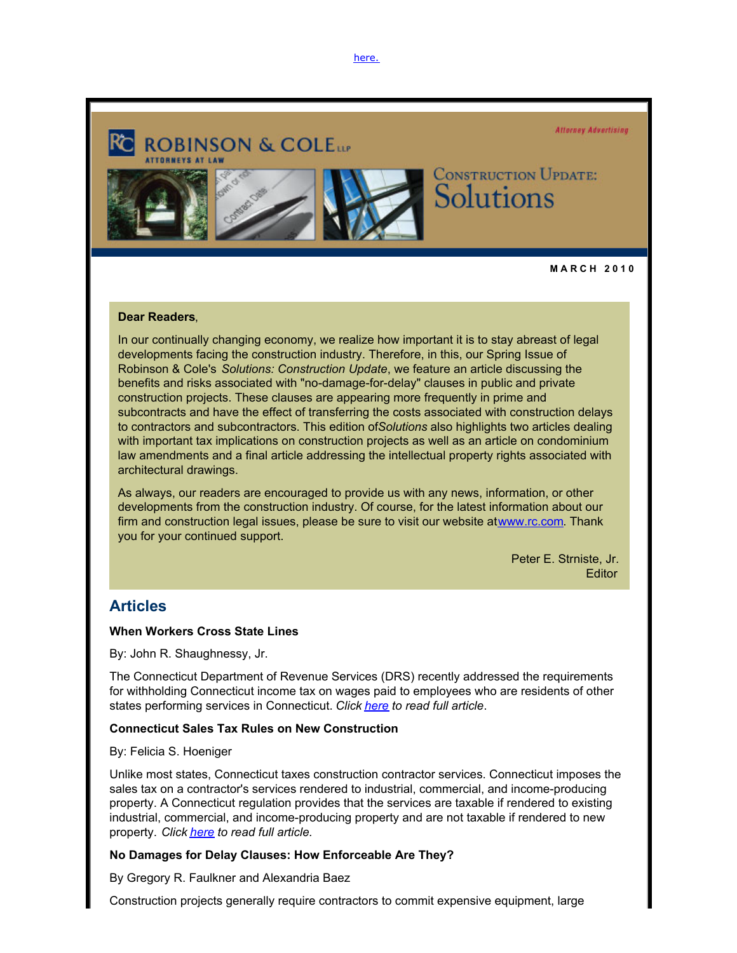[here.](http://www.rc.com/?ju=fe28167672670078701675&ls=fdeb10747163027b7d177372&m=fefb1671756c0d&l=fe941573716d077a75&s=fe191d757d600c7a751376&jb=ffcf14&t=)



**M A R C H 2 0 1 0** 

### **Dear Readers**,

In our continually changing economy, we realize how important it is to stay abreast of legal developments facing the construction industry. Therefore, in this, our Spring Issue of Robinson & Cole's *Solutions: Construction Update*, we feature an article discussing the benefits and risks associated with "no-damage-for-delay" clauses in public and private construction projects. These clauses are appearing more frequently in prime and subcontracts and have the effect of transferring the costs associated with construction delays to contractors and subcontractors. This edition of *Solutions* also highlights two articles dealing with important tax implications on construction projects as well as an article on condominium law amendments and a final article addressing the intellectual property rights associated with architectural drawings.

As always, our readers are encouraged to provide us with any news, information, or other developments from the construction industry. Of course, for the latest information about our firm and construction legal issues, please be sure to visit our website at [www.rc.com](http://www.rc.com/?ju=fe27167672670078701676&ls=fdeb10747163027b7d177372&m=fefb1671756c0d&l=fe941573716d077a75&s=fe191d757d600c7a751376&jb=ffcf14&t=). Thank you for your continued support.

> Peter E. Strniste, Jr*.* **Editor**

## **Articles**

### **When Workers Cross State Lines**

By: John R. Shaughnessy, Jr.

The Connecticut Department of Revenue Services (DRS) recently addressed the requirements for withholding Connecticut income tax on wages paid to employees who are residents of other states performing services in Connecticut. *Click [here](http://www.rc.com/?ju=fe26167672670078701677&ls=fdeb10747163027b7d177372&m=fefb1671756c0d&l=fe941573716d077a75&s=fe191d757d600c7a751376&jb=ffcf14&t=) to read full article*.

### **Connecticut Sales Tax Rules on New Construction**

By: Felicia S. Hoeniger

Unlike most states, Connecticut taxes construction contractor services. Connecticut imposes the sales tax on a contractor's services rendered to industrial, commercial, and income-producing property. A Connecticut regulation provides that the services are taxable if rendered to existing industrial, commercial, and income-producing property and are not taxable if rendered to new property. *Click [here](http://www.rc.com/?ju=fe25167672670078701678&ls=fdeb10747163027b7d177372&m=fefb1671756c0d&l=fe941573716d077a75&s=fe191d757d600c7a751376&jb=ffcf14&t=) to read full article.*

### **No Damages for Delay Clauses: How Enforceable Are They?**

By Gregory R. Faulkner and Alexandria Baez

Construction projects generally require contractors to commit expensive equipment, large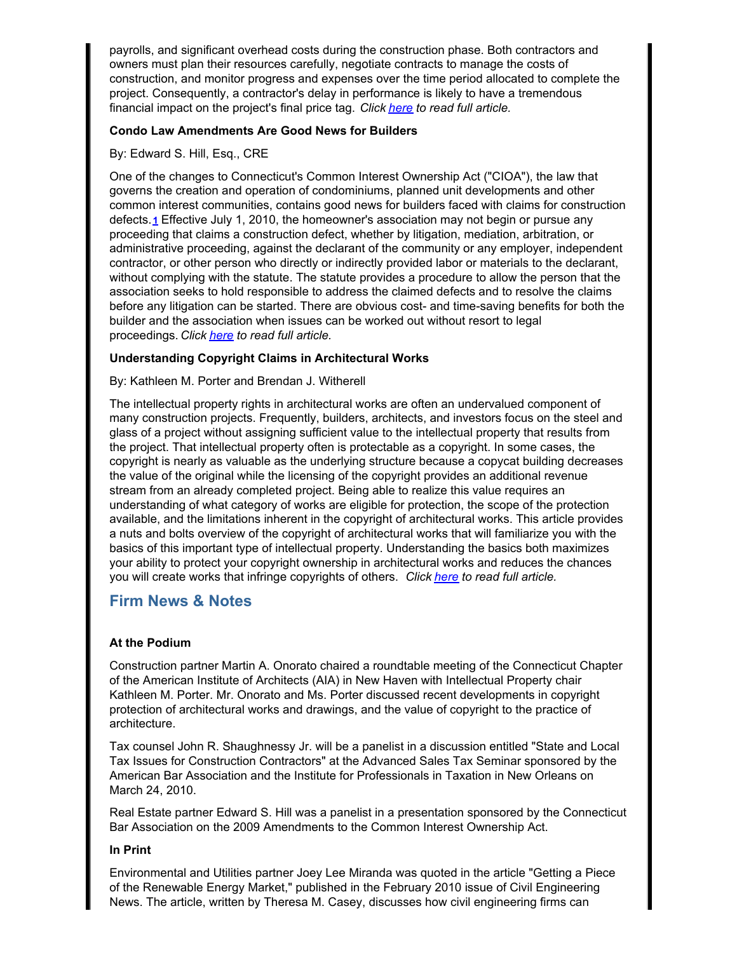payrolls, and significant overhead costs during the construction phase. Both contractors and owners must plan their resources carefully, negotiate contracts to manage the costs of construction, and monitor progress and expenses over the time period allocated to complete the project. Consequently, a contractor's delay in performance is likely to have a tremendous financial impact on the project's final price tag. *Click [here](http://www.rc.com/?ju=fe24167672670078701679&ls=fdeb10747163027b7d177372&m=fefb1671756c0d&l=fe941573716d077a75&s=fe191d757d600c7a751376&jb=ffcf14&t=) to read full article.*

### **Condo Law Amendments Are Good News for Builders**

### By: Edward S. Hill, Esq., CRE

One of the changes to Connecticut's Common Interest Ownership Act ("CIOA"), the law that governs the creation and operation of condominiums, planned unit developments and other common interest communities, contains good news for builders faced with claims for construction defects.**[1]( :80/#1)** Effective July 1, 2010, the homeowner's association may not begin or pursue any proceeding that claims a construction defect, whether by litigation, mediation, arbitration, or administrative proceeding, against the declarant of the community or any employer, independent contractor, or other person who directly or indirectly provided labor or materials to the declarant, without complying with the statute. The statute provides a procedure to allow the person that the association seeks to hold responsible to address the claimed defects and to resolve the claims before any litigation can be started. There are obvious cost- and time-saving benefits for both the builder and the association when issues can be worked out without resort to legal proceedings. *Click [here](http://www.rc.com/?ju=fe2c167672670078701770&ls=fdeb10747163027b7d177372&m=fefb1671756c0d&l=fe941573716d077a75&s=fe191d757d600c7a751376&jb=ffcf14&t=) to read full article.*

### **Understanding Copyright Claims in Architectural Works**

### By: Kathleen M. Porter and Brendan J. Witherell

The intellectual property rights in architectural works are often an undervalued component of many construction projects. Frequently, builders, architects, and investors focus on the steel and glass of a project without assigning sufficient value to the intellectual property that results from the project. That intellectual property often is protectable as a copyright. In some cases, the copyright is nearly as valuable as the underlying structure because a copycat building decreases the value of the original while the licensing of the copyright provides an additional revenue stream from an already completed project. Being able to realize this value requires an understanding of what category of works are eligible for protection, the scope of the protection available, and the limitations inherent in the copyright of architectural works. This article provides a nuts and bolts overview of the copyright of architectural works that will familiarize you with the basics of this important type of intellectual property. Understanding the basics both maximizes your ability to protect your copyright ownership in architectural works and reduces the chances you will create works that infringe copyrights of others. *Click [here](http://www.rc.com/?ju=fe2b167672670078701771&ls=fdeb10747163027b7d177372&m=fefb1671756c0d&l=fe941573716d077a75&s=fe191d757d600c7a751376&jb=ffcf14&t=) to read full article.*

# **Firm News & Notes**

### **At the Podium**

Construction partner Martin A. Onorato chaired a roundtable meeting of the Connecticut Chapter of the American Institute of Architects (AIA) in New Haven with Intellectual Property chair Kathleen M. Porter. Mr. Onorato and Ms. Porter discussed recent developments in copyright protection of architectural works and drawings, and the value of copyright to the practice of architecture.

Tax counsel John R. Shaughnessy Jr. will be a panelist in a discussion entitled "State and Local Tax Issues for Construction Contractors" at the Advanced Sales Tax Seminar sponsored by the American Bar Association and the Institute for Professionals in Taxation in New Orleans on March 24, 2010.

Real Estate partner Edward S. Hill was a panelist in a presentation sponsored by the Connecticut Bar Association on the 2009 Amendments to the Common Interest Ownership Act.

### **In Print**

Environmental and Utilities partner Joey Lee Miranda was quoted in the article "Getting a Piece of the Renewable Energy Market," published in the February 2010 issue of Civil Engineering News. The article, written by Theresa M. Casey, discusses how civil engineering firms can